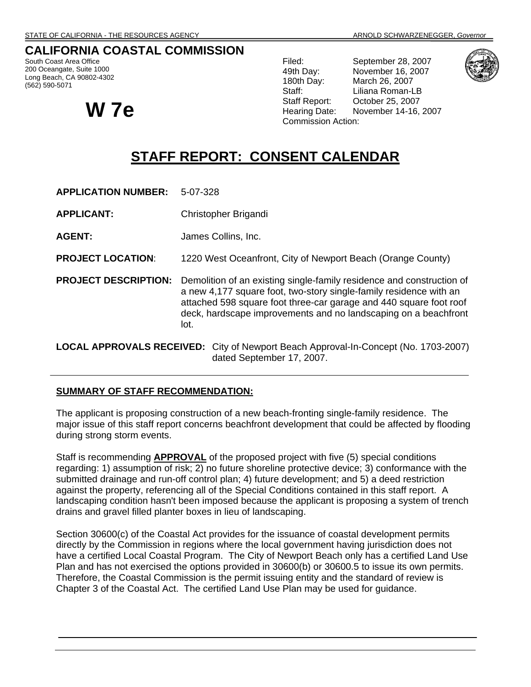# **CALIFORNIA COASTAL COMMISSION**

South Coast Area Office 200 Oceangate, Suite 1000 Long Beach, CA 90802-4302 (562) 590-5071



Filed: September 28, 2007 49th Day: November 16, 2007 180th Day: March 26, 2007 Staff: Liliana Roman-LB Staff Report: October 25, 2007 **W 7e**<br>W 7e **W** Hearing Date: November 14-16, 2007 Commission Action:



# **STAFF REPORT: CONSENT CALENDAR**

| <b>APPLICATION NUMBER:</b>                                                                 | 5-07-328                                                                                                                                                                                                                                                                                     |
|--------------------------------------------------------------------------------------------|----------------------------------------------------------------------------------------------------------------------------------------------------------------------------------------------------------------------------------------------------------------------------------------------|
| <b>APPLICANT:</b>                                                                          | Christopher Brigandi                                                                                                                                                                                                                                                                         |
| <b>AGENT:</b>                                                                              | James Collins, Inc.                                                                                                                                                                                                                                                                          |
| <b>PROJECT LOCATION:</b>                                                                   | 1220 West Oceanfront, City of Newport Beach (Orange County)                                                                                                                                                                                                                                  |
| <b>PROJECT DESCRIPTION:</b>                                                                | Demolition of an existing single-family residence and construction of<br>a new 4,177 square foot, two-story single-family residence with an<br>attached 598 square foot three-car garage and 440 square foot roof<br>deck, hardscape improvements and no landscaping on a beachfront<br>lot. |
| <b>LOCAL APPROVALS RECEIVED:</b> City of Newport Beach Approval-In-Concept (No. 1703-2007) |                                                                                                                                                                                                                                                                                              |

# **SUMMARY OF STAFF RECOMMENDATION:**

The applicant is proposing construction of a new beach-fronting single-family residence. The major issue of this staff report concerns beachfront development that could be affected by flooding during strong storm events.

dated September 17, 2007.

Staff is recommending **APPROVAL** of the proposed project with five (5) special conditions regarding: 1) assumption of risk; 2) no future shoreline protective device; 3) conformance with the submitted drainage and run-off control plan; 4) future development; and 5) a deed restriction against the property, referencing all of the Special Conditions contained in this staff report. A landscaping condition hasn't been imposed because the applicant is proposing a system of trench drains and gravel filled planter boxes in lieu of landscaping.

Section 30600(c) of the Coastal Act provides for the issuance of coastal development permits directly by the Commission in regions where the local government having jurisdiction does not have a certified Local Coastal Program. The City of Newport Beach only has a certified Land Use Plan and has not exercised the options provided in 30600(b) or 30600.5 to issue its own permits. Therefore, the Coastal Commission is the permit issuing entity and the standard of review is Chapter 3 of the Coastal Act. The certified Land Use Plan may be used for guidance.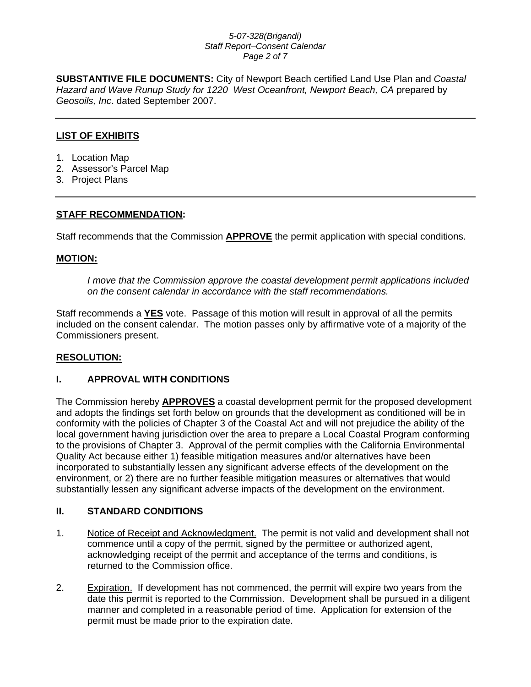#### *5-07-328(Brigandi) Staff Report–Consent Calendar Page 2 of 7*

**SUBSTANTIVE FILE DOCUMENTS:** City of Newport Beach certified Land Use Plan and *Coastal Hazard and Wave Runup Study for 1220 West Oceanfront, Newport Beach, CA* prepared by *Geosoils, Inc*. dated September 2007.

# **LIST OF EXHIBITS**

- 1. Location Map
- 2. Assessor's Parcel Map
- 3. Project Plans

# **STAFF RECOMMENDATION:**

Staff recommends that the Commission **APPROVE** the permit application with special conditions.

### **MOTION:**

*I move that the Commission approve the coastal development permit applications included on the consent calendar in accordance with the staff recommendations.*

Staff recommends a **YES** vote. Passage of this motion will result in approval of all the permits included on the consent calendar. The motion passes only by affirmative vote of a majority of the Commissioners present.

# **RESOLUTION:**

# **I. APPROVAL WITH CONDITIONS**

The Commission hereby **APPROVES** a coastal development permit for the proposed development and adopts the findings set forth below on grounds that the development as conditioned will be in conformity with the policies of Chapter 3 of the Coastal Act and will not prejudice the ability of the local government having jurisdiction over the area to prepare a Local Coastal Program conforming to the provisions of Chapter 3. Approval of the permit complies with the California Environmental Quality Act because either 1) feasible mitigation measures and/or alternatives have been incorporated to substantially lessen any significant adverse effects of the development on the environment, or 2) there are no further feasible mitigation measures or alternatives that would substantially lessen any significant adverse impacts of the development on the environment.

# **II. STANDARD CONDITIONS**

- 1. Notice of Receipt and Acknowledgment. The permit is not valid and development shall not commence until a copy of the permit, signed by the permittee or authorized agent, acknowledging receipt of the permit and acceptance of the terms and conditions, is returned to the Commission office.
- 2. Expiration. If development has not commenced, the permit will expire two years from the date this permit is reported to the Commission. Development shall be pursued in a diligent manner and completed in a reasonable period of time. Application for extension of the permit must be made prior to the expiration date.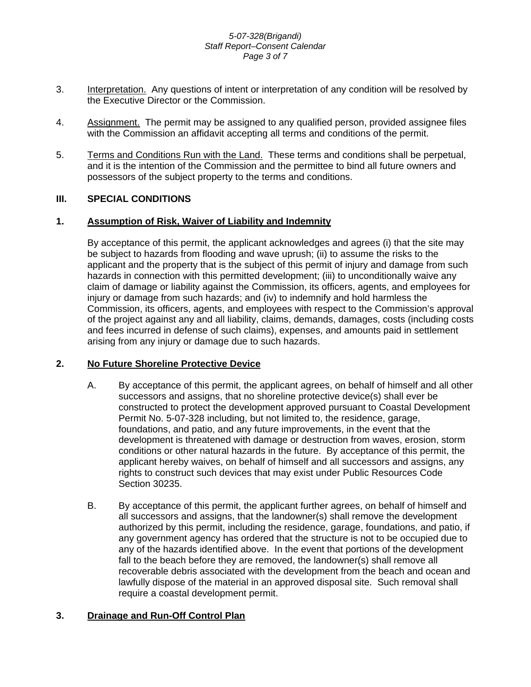#### *5-07-328(Brigandi) Staff Report–Consent Calendar Page 3 of 7*

- 3. Interpretation. Any questions of intent or interpretation of any condition will be resolved by the Executive Director or the Commission.
- 4. Assignment. The permit may be assigned to any qualified person, provided assignee files with the Commission an affidavit accepting all terms and conditions of the permit.
- 5. Terms and Conditions Run with the Land. These terms and conditions shall be perpetual, and it is the intention of the Commission and the permittee to bind all future owners and possessors of the subject property to the terms and conditions.

# **III. SPECIAL CONDITIONS**

### **1. Assumption of Risk, Waiver of Liability and Indemnity**

By acceptance of this permit, the applicant acknowledges and agrees (i) that the site may be subject to hazards from flooding and wave uprush; (ii) to assume the risks to the applicant and the property that is the subject of this permit of injury and damage from such hazards in connection with this permitted development; (iii) to unconditionally waive any claim of damage or liability against the Commission, its officers, agents, and employees for injury or damage from such hazards; and (iv) to indemnify and hold harmless the Commission, its officers, agents, and employees with respect to the Commission's approval of the project against any and all liability, claims, demands, damages, costs (including costs and fees incurred in defense of such claims), expenses, and amounts paid in settlement arising from any injury or damage due to such hazards.

#### **2. No Future Shoreline Protective Device**

- A. By acceptance of this permit, the applicant agrees, on behalf of himself and all other successors and assigns, that no shoreline protective device(s) shall ever be constructed to protect the development approved pursuant to Coastal Development Permit No. 5-07-328 including, but not limited to, the residence, garage, foundations, and patio, and any future improvements, in the event that the development is threatened with damage or destruction from waves, erosion, storm conditions or other natural hazards in the future. By acceptance of this permit, the applicant hereby waives, on behalf of himself and all successors and assigns, any rights to construct such devices that may exist under Public Resources Code Section 30235.
- B. By acceptance of this permit, the applicant further agrees, on behalf of himself and all successors and assigns, that the landowner(s) shall remove the development authorized by this permit, including the residence, garage, foundations, and patio, if any government agency has ordered that the structure is not to be occupied due to any of the hazards identified above. In the event that portions of the development fall to the beach before they are removed, the landowner(s) shall remove all recoverable debris associated with the development from the beach and ocean and lawfully dispose of the material in an approved disposal site. Such removal shall require a coastal development permit.

# **3. Drainage and Run-Off Control Plan**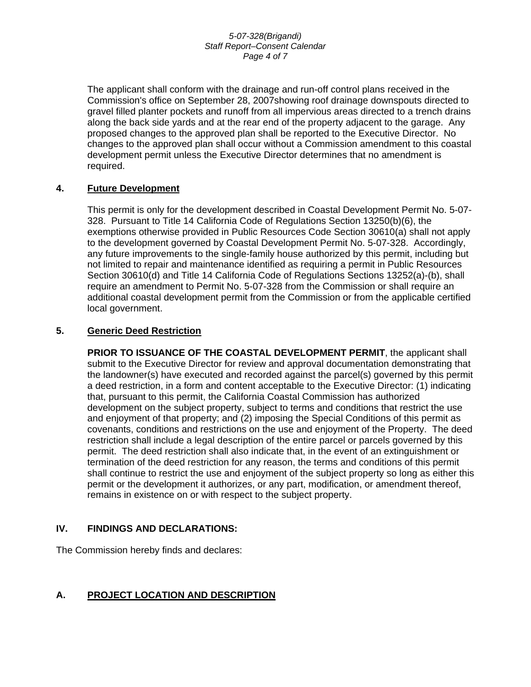#### *5-07-328(Brigandi) Staff Report–Consent Calendar Page 4 of 7*

The applicant shall conform with the drainage and run-off control plans received in the Commission's office on September 28, 2007showing roof drainage downspouts directed to gravel filled planter pockets and runoff from all impervious areas directed to a trench drains along the back side yards and at the rear end of the property adjacent to the garage. Any proposed changes to the approved plan shall be reported to the Executive Director. No changes to the approved plan shall occur without a Commission amendment to this coastal development permit unless the Executive Director determines that no amendment is required.

# **4. Future Development**

This permit is only for the development described in Coastal Development Permit No. 5-07- 328. Pursuant to Title 14 California Code of Regulations Section 13250(b)(6), the exemptions otherwise provided in Public Resources Code Section 30610(a) shall not apply to the development governed by Coastal Development Permit No. 5-07-328. Accordingly, any future improvements to the single-family house authorized by this permit, including but not limited to repair and maintenance identified as requiring a permit in Public Resources Section 30610(d) and Title 14 California Code of Regulations Sections 13252(a)-(b), shall require an amendment to Permit No. 5-07-328 from the Commission or shall require an additional coastal development permit from the Commission or from the applicable certified local government.

# **5. Generic Deed Restriction**

**PRIOR TO ISSUANCE OF THE COASTAL DEVELOPMENT PERMIT, the applicant shall** submit to the Executive Director for review and approval documentation demonstrating that the landowner(s) have executed and recorded against the parcel(s) governed by this permit a deed restriction, in a form and content acceptable to the Executive Director: (1) indicating that, pursuant to this permit, the California Coastal Commission has authorized development on the subject property, subject to terms and conditions that restrict the use and enjoyment of that property; and (2) imposing the Special Conditions of this permit as covenants, conditions and restrictions on the use and enjoyment of the Property. The deed restriction shall include a legal description of the entire parcel or parcels governed by this permit. The deed restriction shall also indicate that, in the event of an extinguishment or termination of the deed restriction for any reason, the terms and conditions of this permit shall continue to restrict the use and enjoyment of the subject property so long as either this permit or the development it authorizes, or any part, modification, or amendment thereof, remains in existence on or with respect to the subject property.

# **IV. FINDINGS AND DECLARATIONS:**

The Commission hereby finds and declares:

# **A. PROJECT LOCATION AND DESCRIPTION**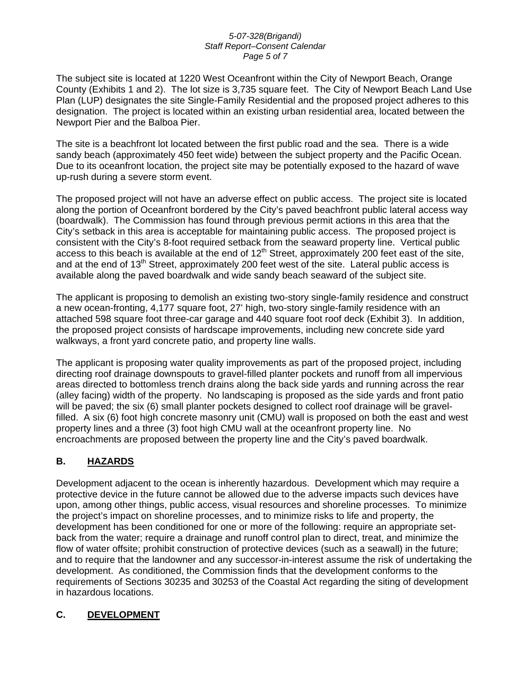#### *5-07-328(Brigandi) Staff Report–Consent Calendar Page 5 of 7*

The subject site is located at 1220 West Oceanfront within the City of Newport Beach, Orange County (Exhibits 1 and 2). The lot size is 3,735 square feet. The City of Newport Beach Land Use Plan (LUP) designates the site Single-Family Residential and the proposed project adheres to this designation. The project is located within an existing urban residential area, located between the Newport Pier and the Balboa Pier.

The site is a beachfront lot located between the first public road and the sea. There is a wide sandy beach (approximately 450 feet wide) between the subject property and the Pacific Ocean. Due to its oceanfront location, the project site may be potentially exposed to the hazard of wave up-rush during a severe storm event.

The proposed project will not have an adverse effect on public access. The project site is located along the portion of Oceanfront bordered by the City's paved beachfront public lateral access way (boardwalk). The Commission has found through previous permit actions in this area that the City's setback in this area is acceptable for maintaining public access. The proposed project is consistent with the City's 8-foot required setback from the seaward property line. Vertical public access to this beach is available at the end of  $12<sup>th</sup>$  Street, approximately 200 feet east of the site, and at the end of 13<sup>th</sup> Street, approximately 200 feet west of the site. Lateral public access is available along the paved boardwalk and wide sandy beach seaward of the subject site.

The applicant is proposing to demolish an existing two-story single-family residence and construct a new ocean-fronting, 4,177 square foot, 27' high, two-story single-family residence with an attached 598 square foot three-car garage and 440 square foot roof deck (Exhibit 3). In addition, the proposed project consists of hardscape improvements, including new concrete side yard walkways, a front yard concrete patio, and property line walls.

The applicant is proposing water quality improvements as part of the proposed project, including directing roof drainage downspouts to gravel-filled planter pockets and runoff from all impervious areas directed to bottomless trench drains along the back side yards and running across the rear (alley facing) width of the property. No landscaping is proposed as the side yards and front patio will be paved; the six (6) small planter pockets designed to collect roof drainage will be gravelfilled. A six (6) foot high concrete masonry unit (CMU) wall is proposed on both the east and west property lines and a three (3) foot high CMU wall at the oceanfront property line. No encroachments are proposed between the property line and the City's paved boardwalk.

# **B. HAZARDS**

Development adjacent to the ocean is inherently hazardous. Development which may require a protective device in the future cannot be allowed due to the adverse impacts such devices have upon, among other things, public access, visual resources and shoreline processes. To minimize the project's impact on shoreline processes, and to minimize risks to life and property, the development has been conditioned for one or more of the following: require an appropriate setback from the water; require a drainage and runoff control plan to direct, treat, and minimize the flow of water offsite; prohibit construction of protective devices (such as a seawall) in the future; and to require that the landowner and any successor-in-interest assume the risk of undertaking the development. As conditioned, the Commission finds that the development conforms to the requirements of Sections 30235 and 30253 of the Coastal Act regarding the siting of development in hazardous locations.

# **C. DEVELOPMENT**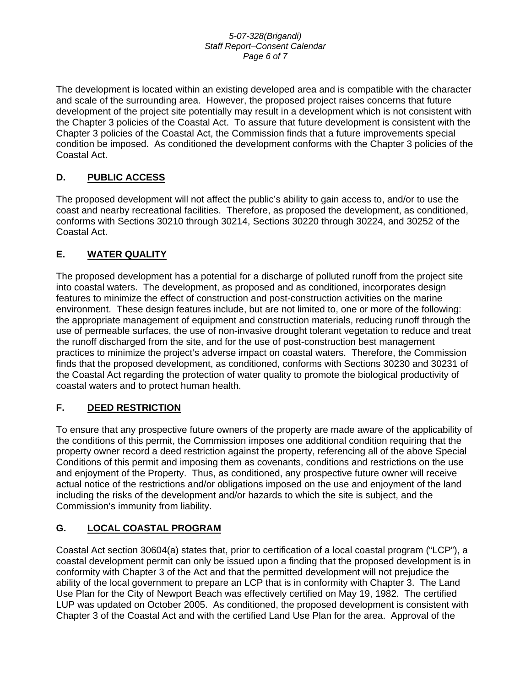#### *5-07-328(Brigandi) Staff Report–Consent Calendar Page 6 of 7*

The development is located within an existing developed area and is compatible with the character and scale of the surrounding area. However, the proposed project raises concerns that future development of the project site potentially may result in a development which is not consistent with the Chapter 3 policies of the Coastal Act. To assure that future development is consistent with the Chapter 3 policies of the Coastal Act, the Commission finds that a future improvements special condition be imposed. As conditioned the development conforms with the Chapter 3 policies of the Coastal Act.

# **D. PUBLIC ACCESS**

The proposed development will not affect the public's ability to gain access to, and/or to use the coast and nearby recreational facilities. Therefore, as proposed the development, as conditioned, conforms with Sections 30210 through 30214, Sections 30220 through 30224, and 30252 of the Coastal Act.

# **E. WATER QUALITY**

The proposed development has a potential for a discharge of polluted runoff from the project site into coastal waters. The development, as proposed and as conditioned, incorporates design features to minimize the effect of construction and post-construction activities on the marine environment. These design features include, but are not limited to, one or more of the following: the appropriate management of equipment and construction materials, reducing runoff through the use of permeable surfaces, the use of non-invasive drought tolerant vegetation to reduce and treat the runoff discharged from the site, and for the use of post-construction best management practices to minimize the project's adverse impact on coastal waters. Therefore, the Commission finds that the proposed development, as conditioned, conforms with Sections 30230 and 30231 of the Coastal Act regarding the protection of water quality to promote the biological productivity of coastal waters and to protect human health.

# **F. DEED RESTRICTION**

To ensure that any prospective future owners of the property are made aware of the applicability of the conditions of this permit, the Commission imposes one additional condition requiring that the property owner record a deed restriction against the property, referencing all of the above Special Conditions of this permit and imposing them as covenants, conditions and restrictions on the use and enjoyment of the Property. Thus, as conditioned, any prospective future owner will receive actual notice of the restrictions and/or obligations imposed on the use and enjoyment of the land including the risks of the development and/or hazards to which the site is subject, and the Commission's immunity from liability.

# **G. LOCAL COASTAL PROGRAM**

Coastal Act section 30604(a) states that, prior to certification of a local coastal program ("LCP"), a coastal development permit can only be issued upon a finding that the proposed development is in conformity with Chapter 3 of the Act and that the permitted development will not prejudice the ability of the local government to prepare an LCP that is in conformity with Chapter 3. The Land Use Plan for the City of Newport Beach was effectively certified on May 19, 1982. The certified LUP was updated on October 2005. As conditioned, the proposed development is consistent with Chapter 3 of the Coastal Act and with the certified Land Use Plan for the area. Approval of the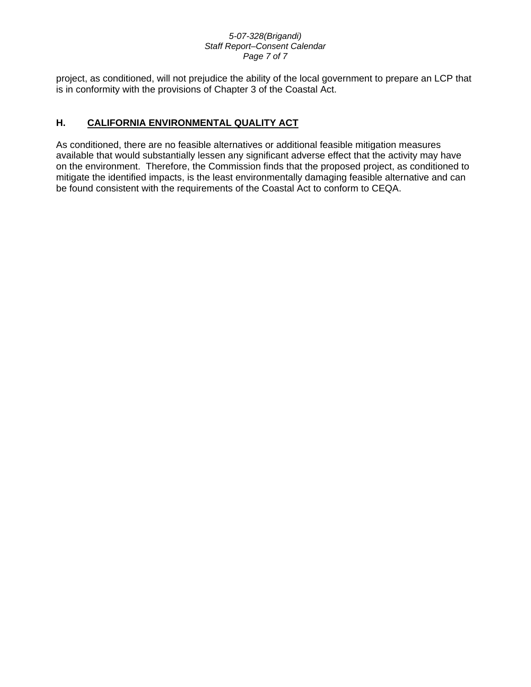#### *5-07-328(Brigandi) Staff Report–Consent Calendar Page 7 of 7*

project, as conditioned, will not prejudice the ability of the local government to prepare an LCP that is in conformity with the provisions of Chapter 3 of the Coastal Act.

# **H. CALIFORNIA ENVIRONMENTAL QUALITY ACT**

As conditioned, there are no feasible alternatives or additional feasible mitigation measures available that would substantially lessen any significant adverse effect that the activity may have on the environment. Therefore, the Commission finds that the proposed project, as conditioned to mitigate the identified impacts, is the least environmentally damaging feasible alternative and can be found consistent with the requirements of the Coastal Act to conform to CEQA.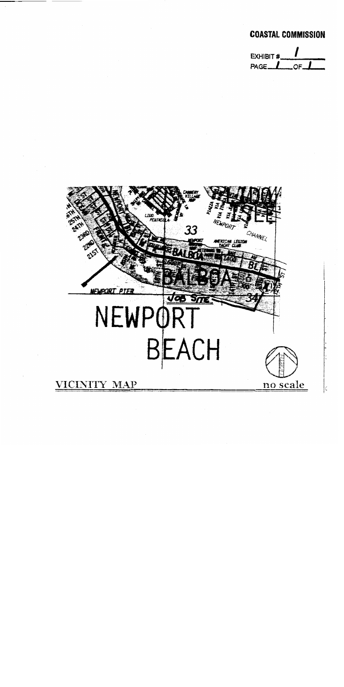# **COASTAL COMMISSION**



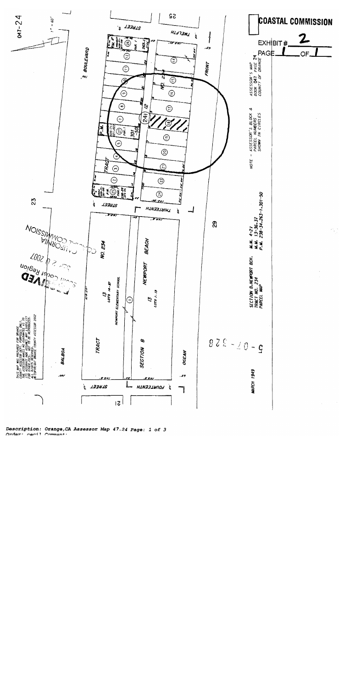

Description: Orange, CA Assessor Map 47.24 Page: 1 of 3 Order: nenil Comment: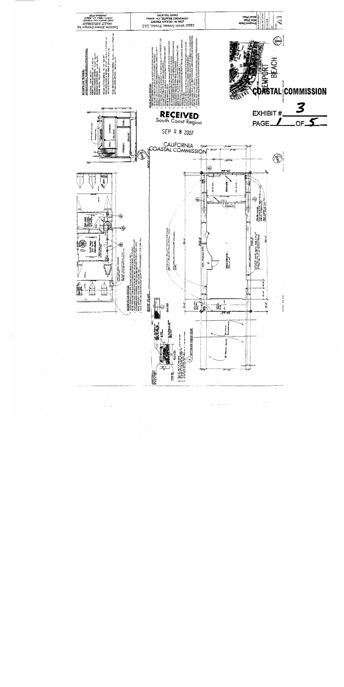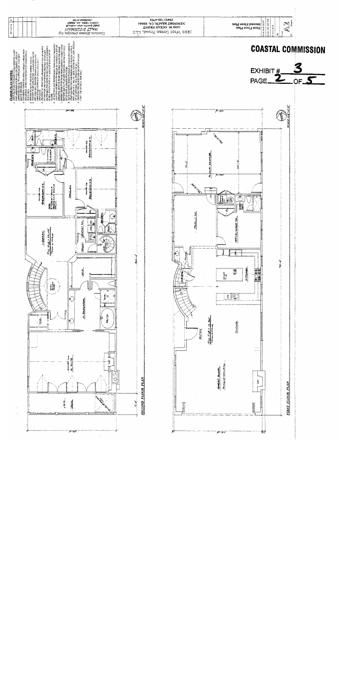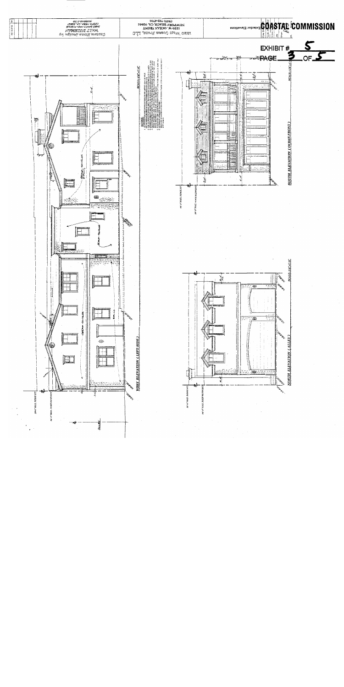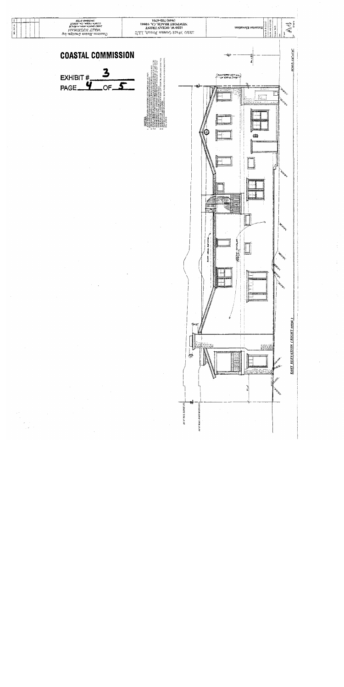